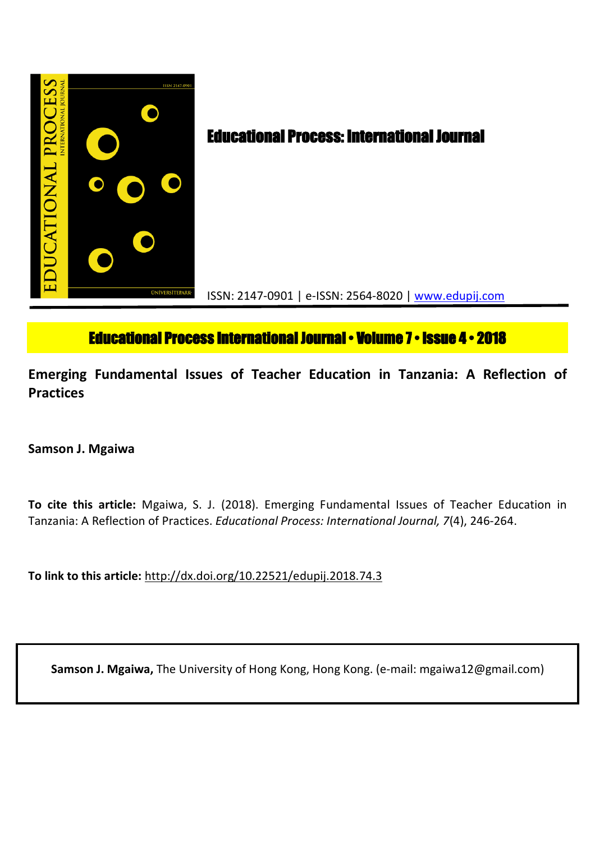

# **Educational Process International Journal • Volume 7 • Issue 4 • 2018**

**Emerging Fundamental Issues of Teacher Education in Tanzania: A Reflection of Practices**

**Samson J. Mgaiwa**

**To cite this article:** Mgaiwa, S. J. (2018). Emerging Fundamental Issues of Teacher Education in Tanzania: A Reflection of Practices. *Educational Process: International Journal, 7*(4), 246-264.

**To link to this article:** http://dx.doi.org/10.22521/edupij.2018.74.3

**Samson J. Mgaiwa,** The University of Hong Kong, Hong Kong. (e-mail: mgaiwa12@gmail.com)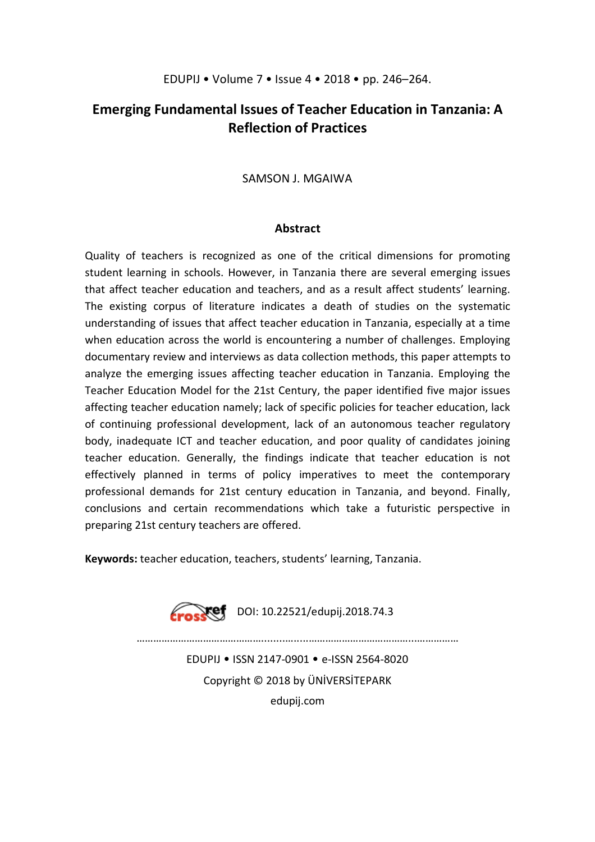# **Emerging Fundamental Issues of Teacher Education in Tanzania: A Reflection of Practices**

# SAMSON J. MGAIWA

#### **Abstract**

Quality of teachers is recognized as one of the critical dimensions for promoting student learning in schools. However, in Tanzania there are several emerging issues that affect teacher education and teachers, and as a result affect students' learning. The existing corpus of literature indicates a death of studies on the systematic understanding of issues that affect teacher education in Tanzania, especially at a time when education across the world is encountering a number of challenges. Employing documentary review and interviews as data collection methods, this paper attempts to analyze the emerging issues affecting teacher education in Tanzania. Employing the Teacher Education Model for the 21st Century, the paper identified five major issues affecting teacher education namely; lack of specific policies for teacher education, lack of continuing professional development, lack of an autonomous teacher regulatory body, inadequate ICT and teacher education, and poor quality of candidates joining teacher education. Generally, the findings indicate that teacher education is not effectively planned in terms of policy imperatives to meet the contemporary professional demands for 21st century education in Tanzania, and beyond. Finally, conclusions and certain recommendations which take a futuristic perspective in preparing 21st century teachers are offered.

**Keywords:** teacher education, teachers, students' learning, Tanzania.



………………………………………........….....………………………………...……………

EDUPIJ • ISSN 2147-0901 • e-ISSN 2564-8020 Copyright © 2018 by ÜNİVERSİTEPARK edupij.com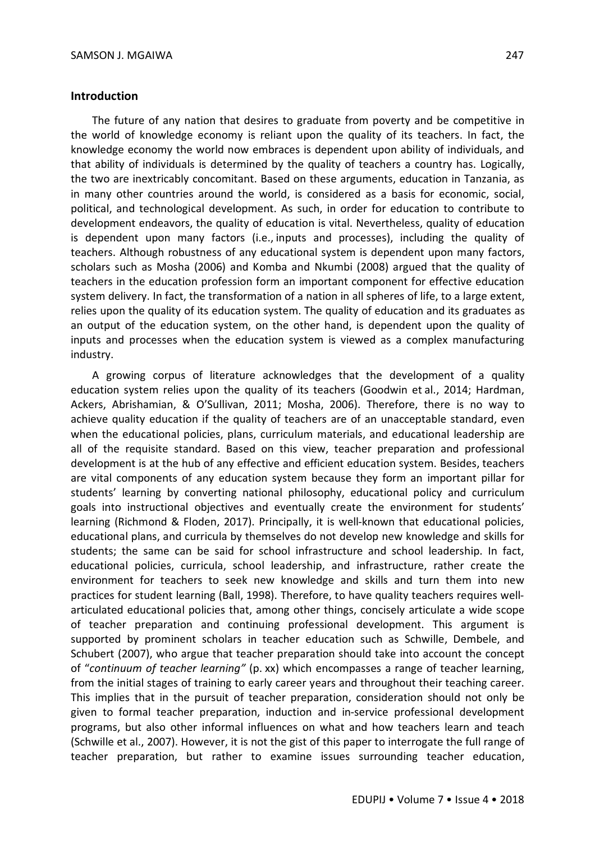#### **Introduction**

The future of any nation that desires to graduate from poverty and be competitive in the world of knowledge economy is reliant upon the quality of its teachers. In fact, the knowledge economy the world now embraces is dependent upon ability of individuals, and that ability of individuals is determined by the quality of teachers a country has. Logically, the two are inextricably concomitant. Based on these arguments, education in Tanzania, as in many other countries around the world, is considered as a basis for economic, social, political, and technological development. As such, in order for education to contribute to development endeavors, the quality of education is vital. Nevertheless, quality of education is dependent upon many factors (i.e., inputs and processes), including the quality of teachers. Although robustness of any educational system is dependent upon many factors, scholars such as Mosha (2006) and Komba and Nkumbi (2008) argued that the quality of teachers in the education profession form an important component for effective education system delivery. In fact, the transformation of a nation in all spheres of life, to a large extent, relies upon the quality of its education system. The quality of education and its graduates as an output of the education system, on the other hand, is dependent upon the quality of inputs and processes when the education system is viewed as a complex manufacturing industry.

A growing corpus of literature acknowledges that the development of a quality education system relies upon the quality of its teachers (Goodwin et al., 2014; Hardman, Ackers, Abrishamian, & O'Sullivan, 2011; Mosha, 2006). Therefore, there is no way to achieve quality education if the quality of teachers are of an unacceptable standard, even when the educational policies, plans, curriculum materials, and educational leadership are all of the requisite standard. Based on this view, teacher preparation and professional development is at the hub of any effective and efficient education system. Besides, teachers are vital components of any education system because they form an important pillar for students' learning by converting national philosophy, educational policy and curriculum goals into instructional objectives and eventually create the environment for students' learning (Richmond & Floden, 2017). Principally, it is well-known that educational policies, educational plans, and curricula by themselves do not develop new knowledge and skills for students; the same can be said for school infrastructure and school leadership. In fact, educational policies, curricula, school leadership, and infrastructure, rather create the environment for teachers to seek new knowledge and skills and turn them into new practices for student learning (Ball, 1998). Therefore, to have quality teachers requires wellarticulated educational policies that, among other things, concisely articulate a wide scope of teacher preparation and continuing professional development. This argument is supported by prominent scholars in teacher education such as Schwille, Dembele, and Schubert (2007), who argue that teacher preparation should take into account the concept of "*continuum of teacher learning"* (p. xx) which encompasses a range of teacher learning, from the initial stages of training to early career years and throughout their teaching career. This implies that in the pursuit of teacher preparation, consideration should not only be given to formal teacher preparation, induction and in-service professional development programs, but also other informal influences on what and how teachers learn and teach (Schwille et al., 2007). However, it is not the gist of this paper to interrogate the full range of teacher preparation, but rather to examine issues surrounding teacher education,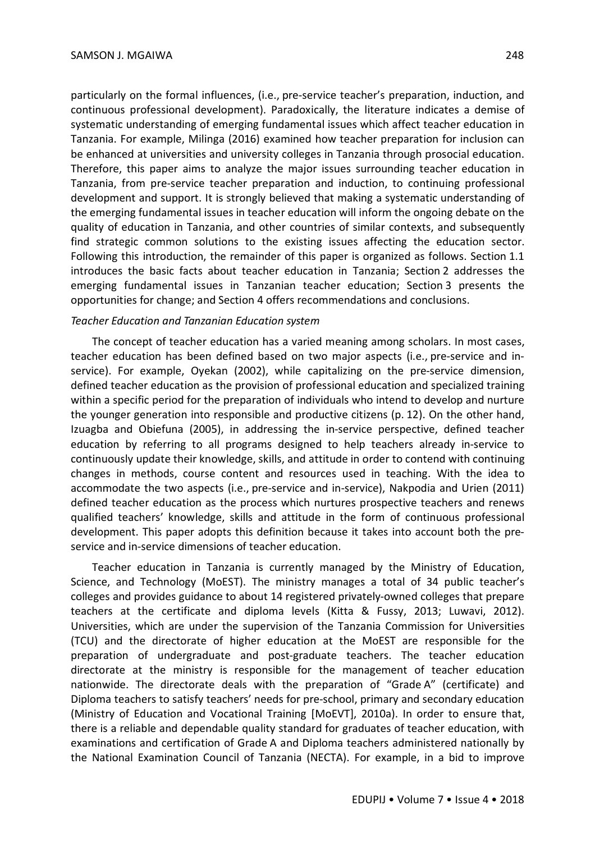particularly on the formal influences, (i.e., pre-service teacher's preparation, induction, and continuous professional development). Paradoxically, the literature indicates a demise of systematic understanding of emerging fundamental issues which affect teacher education in Tanzania. For example, Milinga (2016) examined how teacher preparation for inclusion can be enhanced at universities and university colleges in Tanzania through prosocial education. Therefore, this paper aims to analyze the major issues surrounding teacher education in Tanzania, from pre-service teacher preparation and induction, to continuing professional development and support. It is strongly believed that making a systematic understanding of the emerging fundamental issues in teacher education will inform the ongoing debate on the quality of education in Tanzania, and other countries of similar contexts, and subsequently find strategic common solutions to the existing issues affecting the education sector. Following this introduction, the remainder of this paper is organized as follows. Section 1.1 introduces the basic facts about teacher education in Tanzania; Section 2 addresses the emerging fundamental issues in Tanzanian teacher education; Section 3 presents the opportunities for change; and Section 4 offers recommendations and conclusions.

#### *Teacher Education and Tanzanian Education system*

The concept of teacher education has a varied meaning among scholars. In most cases, teacher education has been defined based on two major aspects (i.e., pre-service and inservice). For example, Oyekan (2002), while capitalizing on the pre-service dimension, defined teacher education as the provision of professional education and specialized training within a specific period for the preparation of individuals who intend to develop and nurture the younger generation into responsible and productive citizens (p. 12). On the other hand, Izuagba and Obiefuna (2005), in addressing the in-service perspective, defined teacher education by referring to all programs designed to help teachers already in-service to continuously update their knowledge, skills, and attitude in order to contend with continuing changes in methods, course content and resources used in teaching. With the idea to accommodate the two aspects (i.e., pre-service and in-service), Nakpodia and Urien (2011) defined teacher education as the process which nurtures prospective teachers and renews qualified teachers' knowledge, skills and attitude in the form of continuous professional development. This paper adopts this definition because it takes into account both the preservice and in-service dimensions of teacher education.

Teacher education in Tanzania is currently managed by the Ministry of Education, Science, and Technology (MoEST). The ministry manages a total of 34 public teacher's colleges and provides guidance to about 14 registered privately-owned colleges that prepare teachers at the certificate and diploma levels (Kitta & Fussy, 2013; Luwavi, 2012). Universities, which are under the supervision of the Tanzania Commission for Universities (TCU) and the directorate of higher education at the MoEST are responsible for the preparation of undergraduate and post-graduate teachers. The teacher education directorate at the ministry is responsible for the management of teacher education nationwide. The directorate deals with the preparation of "Grade A" (certificate) and Diploma teachers to satisfy teachers' needs for pre-school, primary and secondary education (Ministry of Education and Vocational Training [MoEVT], 2010a). In order to ensure that, there is a reliable and dependable quality standard for graduates of teacher education, with examinations and certification of Grade A and Diploma teachers administered nationally by the National Examination Council of Tanzania (NECTA). For example, in a bid to improve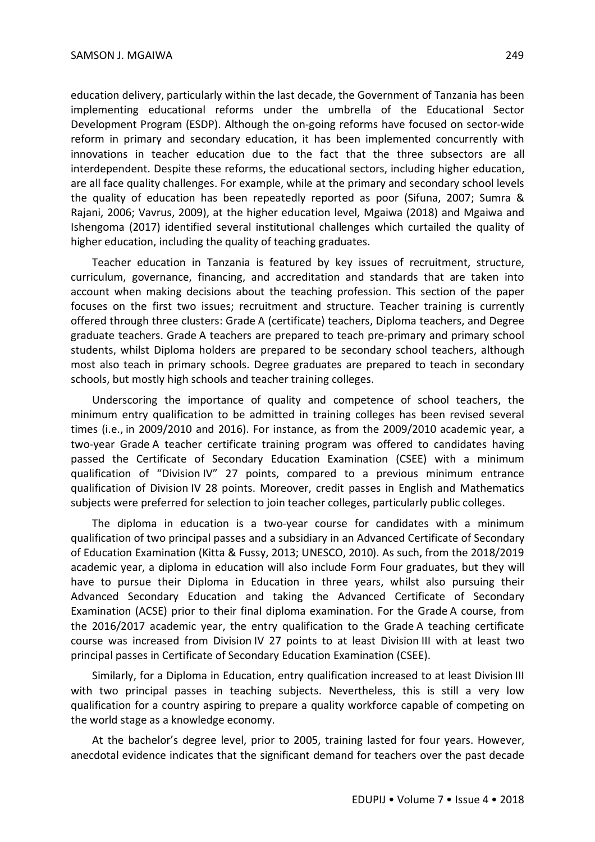education delivery, particularly within the last decade, the Government of Tanzania has been implementing educational reforms under the umbrella of the Educational Sector Development Program (ESDP). Although the on-going reforms have focused on sector-wide reform in primary and secondary education, it has been implemented concurrently with innovations in teacher education due to the fact that the three subsectors are all interdependent. Despite these reforms, the educational sectors, including higher education, are all face quality challenges. For example, while at the primary and secondary school levels the quality of education has been repeatedly reported as poor (Sifuna, 2007; Sumra & Rajani, 2006; Vavrus, 2009), at the higher education level, Mgaiwa (2018) and Mgaiwa and Ishengoma (2017) identified several institutional challenges which curtailed the quality of higher education, including the quality of teaching graduates.

Teacher education in Tanzania is featured by key issues of recruitment, structure, curriculum, governance, financing, and accreditation and standards that are taken into account when making decisions about the teaching profession. This section of the paper focuses on the first two issues; recruitment and structure. Teacher training is currently offered through three clusters: Grade A (certificate) teachers, Diploma teachers, and Degree graduate teachers. Grade A teachers are prepared to teach pre-primary and primary school students, whilst Diploma holders are prepared to be secondary school teachers, although most also teach in primary schools. Degree graduates are prepared to teach in secondary schools, but mostly high schools and teacher training colleges.

Underscoring the importance of quality and competence of school teachers, the minimum entry qualification to be admitted in training colleges has been revised several times (i.e., in 2009/2010 and 2016). For instance, as from the 2009/2010 academic year, a two-year Grade A teacher certificate training program was offered to candidates having passed the Certificate of Secondary Education Examination (CSEE) with a minimum qualification of "Division IV" 27 points, compared to a previous minimum entrance qualification of Division IV 28 points. Moreover, credit passes in English and Mathematics subjects were preferred for selection to join teacher colleges, particularly public colleges.

The diploma in education is a two-year course for candidates with a minimum qualification of two principal passes and a subsidiary in an Advanced Certificate of Secondary of Education Examination (Kitta & Fussy, 2013; UNESCO, 2010). As such, from the 2018/2019 academic year, a diploma in education will also include Form Four graduates, but they will have to pursue their Diploma in Education in three years, whilst also pursuing their Advanced Secondary Education and taking the Advanced Certificate of Secondary Examination (ACSE) prior to their final diploma examination. For the Grade A course, from the 2016/2017 academic year, the entry qualification to the Grade A teaching certificate course was increased from Division IV 27 points to at least Division III with at least two principal passes in Certificate of Secondary Education Examination (CSEE).

Similarly, for a Diploma in Education, entry qualification increased to at least Division III with two principal passes in teaching subjects. Nevertheless, this is still a very low qualification for a country aspiring to prepare a quality workforce capable of competing on the world stage as a knowledge economy.

At the bachelor's degree level, prior to 2005, training lasted for four years. However, anecdotal evidence indicates that the significant demand for teachers over the past decade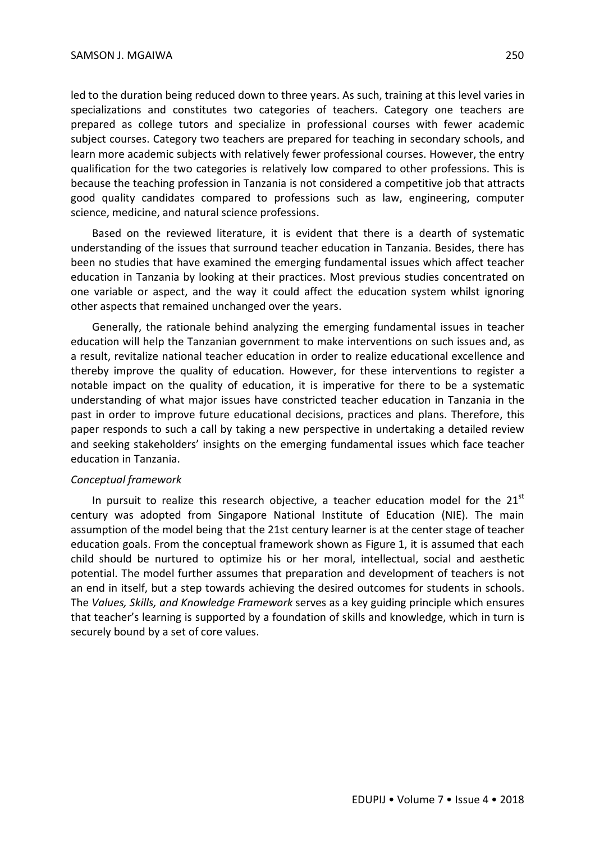led to the duration being reduced down to three years. As such, training at this level varies in specializations and constitutes two categories of teachers. Category one teachers are prepared as college tutors and specialize in professional courses with fewer academic subject courses. Category two teachers are prepared for teaching in secondary schools, and learn more academic subjects with relatively fewer professional courses. However, the entry qualification for the two categories is relatively low compared to other professions. This is because the teaching profession in Tanzania is not considered a competitive job that attracts good quality candidates compared to professions such as law, engineering, computer science, medicine, and natural science professions.

Based on the reviewed literature, it is evident that there is a dearth of systematic understanding of the issues that surround teacher education in Tanzania. Besides, there has been no studies that have examined the emerging fundamental issues which affect teacher education in Tanzania by looking at their practices. Most previous studies concentrated on one variable or aspect, and the way it could affect the education system whilst ignoring other aspects that remained unchanged over the years.

Generally, the rationale behind analyzing the emerging fundamental issues in teacher education will help the Tanzanian government to make interventions on such issues and, as a result, revitalize national teacher education in order to realize educational excellence and thereby improve the quality of education. However, for these interventions to register a notable impact on the quality of education, it is imperative for there to be a systematic understanding of what major issues have constricted teacher education in Tanzania in the past in order to improve future educational decisions, practices and plans. Therefore, this paper responds to such a call by taking a new perspective in undertaking a detailed review and seeking stakeholders' insights on the emerging fundamental issues which face teacher education in Tanzania.

#### *Conceptual framework*

In pursuit to realize this research objective, a teacher education model for the  $21<sup>st</sup>$ century was adopted from Singapore National Institute of Education (NIE). The main assumption of the model being that the 21st century learner is at the center stage of teacher education goals. From the conceptual framework shown as Figure 1, it is assumed that each child should be nurtured to optimize his or her moral, intellectual, social and aesthetic potential. The model further assumes that preparation and development of teachers is not an end in itself, but a step towards achieving the desired outcomes for students in schools. The *Values, Skills, and Knowledge Framework* serves as a key guiding principle which ensures that teacher's learning is supported by a foundation of skills and knowledge, which in turn is securely bound by a set of core values.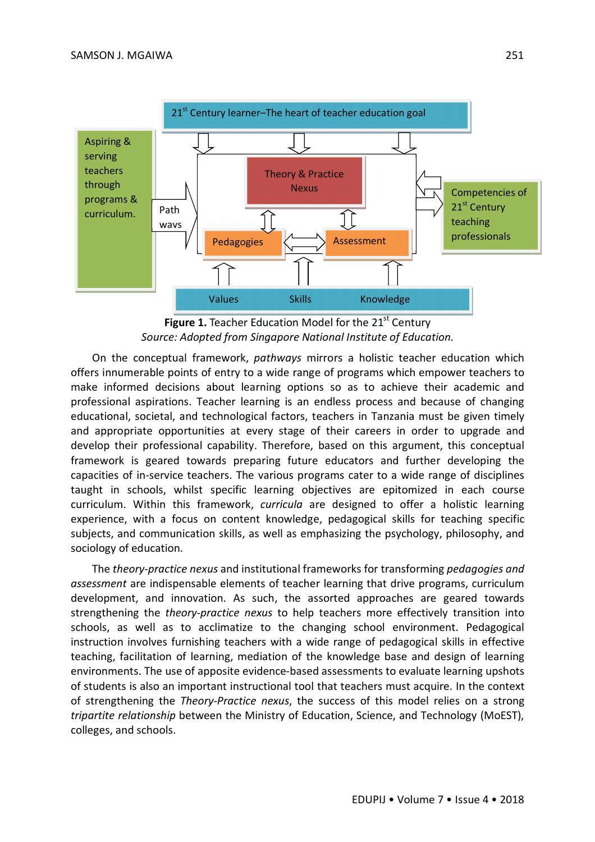

**Figure 1.** Teacher Education Model for the 21<sup>st</sup> Century *Source: Adopted from Singapore National Institute of Education.*

On the conceptual framework, *pathways* mirrors a holistic teacher education which offers innumerable points of entry to a wide range of programs which empower teachers to make informed decisions about learning options so as to achieve their academic and professional aspirations. Teacher learning is an endless process and because of changing educational, societal, and technological factors, teachers in Tanzania must be given timely and appropriate opportunities at every stage of their careers in order to upgrade and develop their professional capability. Therefore, based on this argument, this conceptual framework is geared towards preparing future educators and further developing the capacities of in-service teachers. The various programs cater to a wide range of disciplines taught in schools, whilst specific learning objectives are epitomized in each course curriculum. Within this framework, *curricula* are designed to offer a holistic learning experience, with a focus on content knowledge, pedagogical skills for teaching specific subjects, and communication skills, as well as emphasizing the psychology, philosophy, and sociology of education.

The *theory-practice nexus* and institutional frameworks for transforming *pedagogies and assessment* are indispensable elements of teacher learning that drive programs, curriculum development, and innovation. As such, the assorted approaches are geared towards strengthening the *theory-practice nexus* to help teachers more effectively transition into schools, as well as to acclimatize to the changing school environment. Pedagogical instruction involves furnishing teachers with a wide range of pedagogical skills in effective teaching, facilitation of learning, mediation of the knowledge base and design of learning environments. The use of apposite evidence-based assessments to evaluate learning upshots of students is also an important instructional tool that teachers must acquire. In the context of strengthening the *Theory-Practice nexus*, the success of this model relies on a strong *tripartite relationship* between the Ministry of Education, Science, and Technology (MoEST), colleges, and schools.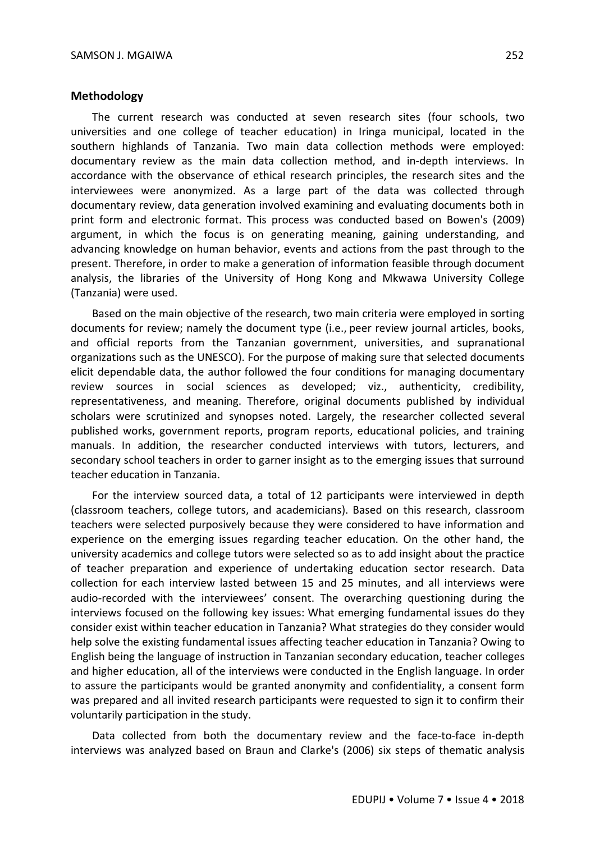#### **Methodology**

The current research was conducted at seven research sites (four schools, two universities and one college of teacher education) in Iringa municipal, located in the southern highlands of Tanzania. Two main data collection methods were employed: documentary review as the main data collection method, and in-depth interviews. In accordance with the observance of ethical research principles, the research sites and the interviewees were anonymized. As a large part of the data was collected through documentary review, data generation involved examining and evaluating documents both in print form and electronic format. This process was conducted based on Bowen's (2009) argument, in which the focus is on generating meaning, gaining understanding, and advancing knowledge on human behavior, events and actions from the past through to the present. Therefore, in order to make a generation of information feasible through document analysis, the libraries of the University of Hong Kong and Mkwawa University College (Tanzania) were used.

Based on the main objective of the research, two main criteria were employed in sorting documents for review; namely the document type (i.e., peer review journal articles, books, and official reports from the Tanzanian government, universities, and supranational organizations such as the UNESCO). For the purpose of making sure that selected documents elicit dependable data, the author followed the four conditions for managing documentary review sources in social sciences as developed; viz., authenticity, credibility, representativeness, and meaning. Therefore, original documents published by individual scholars were scrutinized and synopses noted. Largely, the researcher collected several published works, government reports, program reports, educational policies, and training manuals. In addition, the researcher conducted interviews with tutors, lecturers, and secondary school teachers in order to garner insight as to the emerging issues that surround teacher education in Tanzania.

For the interview sourced data, a total of 12 participants were interviewed in depth (classroom teachers, college tutors, and academicians). Based on this research, classroom teachers were selected purposively because they were considered to have information and experience on the emerging issues regarding teacher education. On the other hand, the university academics and college tutors were selected so as to add insight about the practice of teacher preparation and experience of undertaking education sector research. Data collection for each interview lasted between 15 and 25 minutes, and all interviews were audio-recorded with the interviewees' consent. The overarching questioning during the interviews focused on the following key issues: What emerging fundamental issues do they consider exist within teacher education in Tanzania? What strategies do they consider would help solve the existing fundamental issues affecting teacher education in Tanzania? Owing to English being the language of instruction in Tanzanian secondary education, teacher colleges and higher education, all of the interviews were conducted in the English language. In order to assure the participants would be granted anonymity and confidentiality, a consent form was prepared and all invited research participants were requested to sign it to confirm their voluntarily participation in the study.

Data collected from both the documentary review and the face-to-face in-depth interviews was analyzed based on Braun and Clarke's (2006) six steps of thematic analysis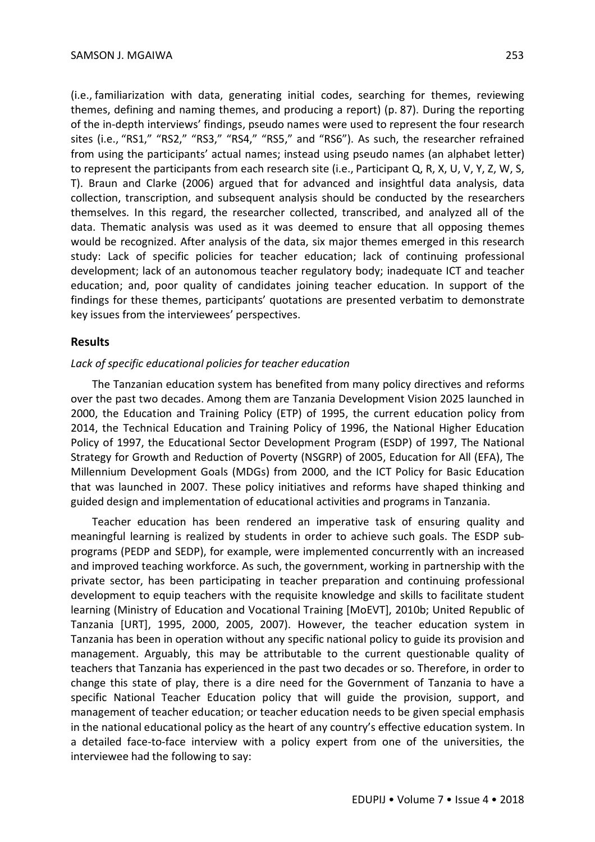(i.e., familiarization with data, generating initial codes, searching for themes, reviewing themes, defining and naming themes, and producing a report) (p. 87). During the reporting of the in-depth interviews' findings, pseudo names were used to represent the four research sites (i.e., "RS1," "RS2," "RS3," "RS4," "RS5," and "RS6"). As such, the researcher refrained from using the participants' actual names; instead using pseudo names (an alphabet letter) to represent the participants from each research site (i.e., Participant Q, R, X, U, V, Y, Z, W, S, T). Braun and Clarke (2006) argued that for advanced and insightful data analysis, data collection, transcription, and subsequent analysis should be conducted by the researchers themselves. In this regard, the researcher collected, transcribed, and analyzed all of the data. Thematic analysis was used as it was deemed to ensure that all opposing themes would be recognized. After analysis of the data, six major themes emerged in this research study: Lack of specific policies for teacher education; lack of continuing professional development; lack of an autonomous teacher regulatory body; inadequate ICT and teacher education; and, poor quality of candidates joining teacher education. In support of the findings for these themes, participants' quotations are presented verbatim to demonstrate key issues from the interviewees' perspectives.

#### **Results**

#### *Lack of specific educational policies for teacher education*

The Tanzanian education system has benefited from many policy directives and reforms over the past two decades. Among them are Tanzania Development Vision 2025 launched in 2000, the Education and Training Policy (ETP) of 1995, the current education policy from 2014, the Technical Education and Training Policy of 1996, the National Higher Education Policy of 1997, the Educational Sector Development Program (ESDP) of 1997, The National Strategy for Growth and Reduction of Poverty (NSGRP) of 2005, Education for All (EFA), The Millennium Development Goals (MDGs) from 2000, and the ICT Policy for Basic Education that was launched in 2007. These policy initiatives and reforms have shaped thinking and guided design and implementation of educational activities and programs in Tanzania.

Teacher education has been rendered an imperative task of ensuring quality and meaningful learning is realized by students in order to achieve such goals. The ESDP subprograms (PEDP and SEDP), for example, were implemented concurrently with an increased and improved teaching workforce. As such, the government, working in partnership with the private sector, has been participating in teacher preparation and continuing professional development to equip teachers with the requisite knowledge and skills to facilitate student learning (Ministry of Education and Vocational Training [MoEVT], 2010b; United Republic of Tanzania [URT], 1995, 2000, 2005, 2007). However, the teacher education system in Tanzania has been in operation without any specific national policy to guide its provision and management. Arguably, this may be attributable to the current questionable quality of teachers that Tanzania has experienced in the past two decades or so. Therefore, in order to change this state of play, there is a dire need for the Government of Tanzania to have a specific National Teacher Education policy that will guide the provision, support, and management of teacher education; or teacher education needs to be given special emphasis in the national educational policy as the heart of any country's effective education system. In a detailed face-to-face interview with a policy expert from one of the universities, the interviewee had the following to say: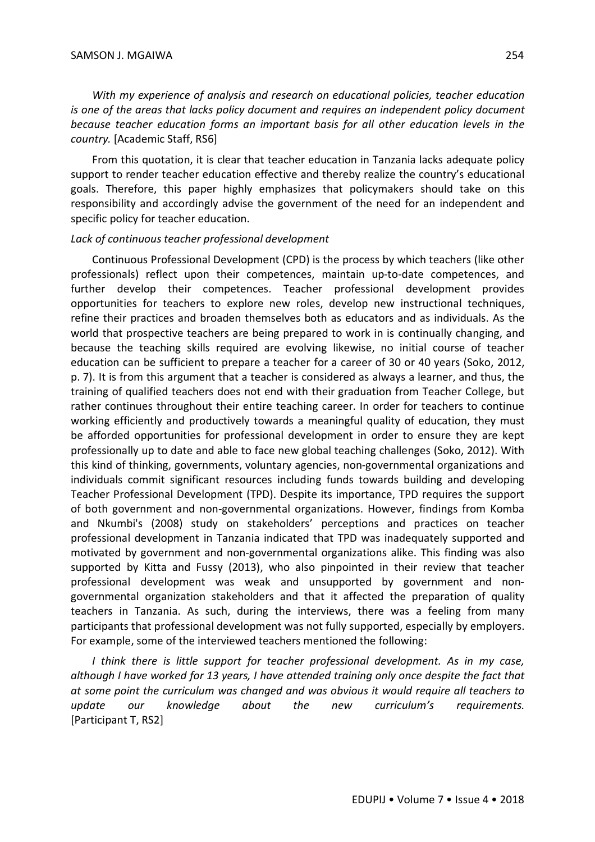*With my experience of analysis and research on educational policies, teacher education is one of the areas that lacks policy document and requires an independent policy document because teacher education forms an important basis for all other education levels in the country.* [Academic Staff, RS6]

From this quotation, it is clear that teacher education in Tanzania lacks adequate policy support to render teacher education effective and thereby realize the country's educational goals. Therefore, this paper highly emphasizes that policymakers should take on this responsibility and accordingly advise the government of the need for an independent and specific policy for teacher education.

#### *Lack of continuous teacher professional development*

Continuous Professional Development (CPD) is the process by which teachers (like other professionals) reflect upon their competences, maintain up-to-date competences, and further develop their competences. Teacher professional development provides opportunities for teachers to explore new roles, develop new instructional techniques, refine their practices and broaden themselves both as educators and as individuals. As the world that prospective teachers are being prepared to work in is continually changing, and because the teaching skills required are evolving likewise, no initial course of teacher education can be sufficient to prepare a teacher for a career of 30 or 40 years (Soko, 2012, p. 7). It is from this argument that a teacher is considered as always a learner, and thus, the training of qualified teachers does not end with their graduation from Teacher College, but rather continues throughout their entire teaching career. In order for teachers to continue working efficiently and productively towards a meaningful quality of education, they must be afforded opportunities for professional development in order to ensure they are kept professionally up to date and able to face new global teaching challenges (Soko, 2012). With this kind of thinking, governments, voluntary agencies, non-governmental organizations and individuals commit significant resources including funds towards building and developing Teacher Professional Development (TPD). Despite its importance, TPD requires the support of both government and non-governmental organizations. However, findings from Komba and Nkumbi's (2008) study on stakeholders' perceptions and practices on teacher professional development in Tanzania indicated that TPD was inadequately supported and motivated by government and non-governmental organizations alike. This finding was also supported by Kitta and Fussy (2013), who also pinpointed in their review that teacher professional development was weak and unsupported by government and nongovernmental organization stakeholders and that it affected the preparation of quality teachers in Tanzania. As such, during the interviews, there was a feeling from many participants that professional development was not fully supported, especially by employers. For example, some of the interviewed teachers mentioned the following:

*I think there is little support for teacher professional development. As in my case, although I have worked for 13 years, I have attended training only once despite the fact that at some point the curriculum was changed and was obvious it would require all teachers to update our knowledge about the new curriculum's requirements.* [Participant T, RS2]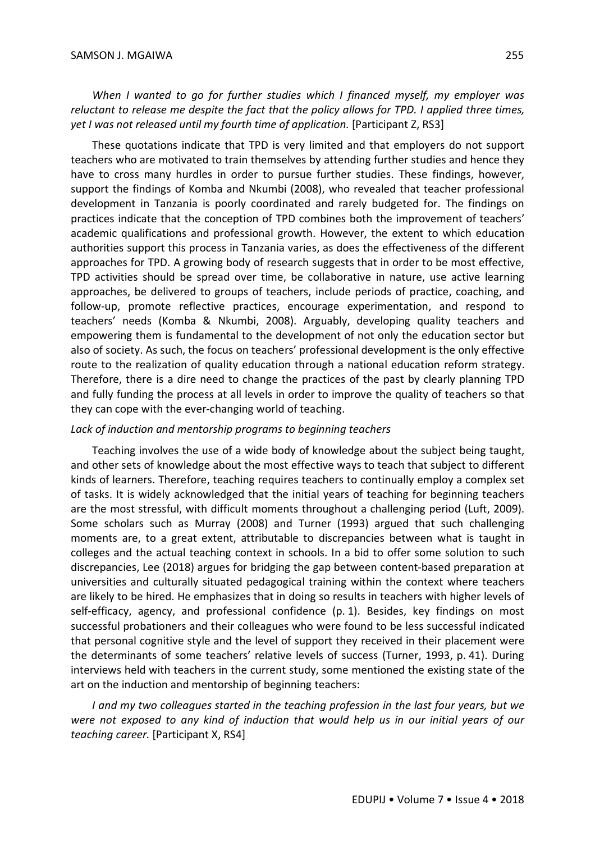*When I wanted to go for further studies which I financed myself, my employer was reluctant to release me despite the fact that the policy allows for TPD. I applied three times, yet I was not released until my fourth time of application.* [Participant Z, RS3]

These quotations indicate that TPD is very limited and that employers do not support teachers who are motivated to train themselves by attending further studies and hence they have to cross many hurdles in order to pursue further studies. These findings, however, support the findings of Komba and Nkumbi (2008), who revealed that teacher professional development in Tanzania is poorly coordinated and rarely budgeted for. The findings on practices indicate that the conception of TPD combines both the improvement of teachers' academic qualifications and professional growth. However, the extent to which education authorities support this process in Tanzania varies, as does the effectiveness of the different approaches for TPD. A growing body of research suggests that in order to be most effective, TPD activities should be spread over time, be collaborative in nature, use active learning approaches, be delivered to groups of teachers, include periods of practice, coaching, and follow-up, promote reflective practices, encourage experimentation, and respond to teachers' needs (Komba & Nkumbi, 2008). Arguably, developing quality teachers and empowering them is fundamental to the development of not only the education sector but also of society. As such, the focus on teachers' professional development is the only effective route to the realization of quality education through a national education reform strategy. Therefore, there is a dire need to change the practices of the past by clearly planning TPD and fully funding the process at all levels in order to improve the quality of teachers so that they can cope with the ever-changing world of teaching.

#### *Lack of induction and mentorship programs to beginning teachers*

Teaching involves the use of a wide body of knowledge about the subject being taught, and other sets of knowledge about the most effective ways to teach that subject to different kinds of learners. Therefore, teaching requires teachers to continually employ a complex set of tasks. It is widely acknowledged that the initial years of teaching for beginning teachers are the most stressful, with difficult moments throughout a challenging period (Luft, 2009). Some scholars such as Murray (2008) and Turner (1993) argued that such challenging moments are, to a great extent, attributable to discrepancies between what is taught in colleges and the actual teaching context in schools. In a bid to offer some solution to such discrepancies, Lee (2018) argues for bridging the gap between content-based preparation at universities and culturally situated pedagogical training within the context where teachers are likely to be hired. He emphasizes that in doing so results in teachers with higher levels of self-efficacy, agency, and professional confidence (p. 1). Besides, key findings on most successful probationers and their colleagues who were found to be less successful indicated that personal cognitive style and the level of support they received in their placement were the determinants of some teachers' relative levels of success (Turner, 1993, p. 41). During interviews held with teachers in the current study, some mentioned the existing state of the art on the induction and mentorship of beginning teachers:

*I and my two colleagues started in the teaching profession in the last four years, but we were not exposed to any kind of induction that would help us in our initial years of our teaching career.* [Participant X, RS4]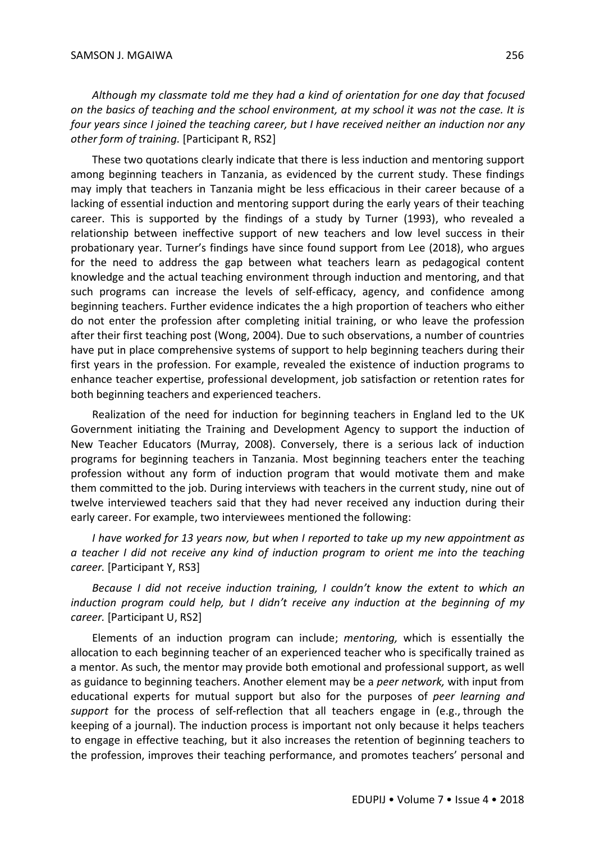*Although my classmate told me they had a kind of orientation for one day that focused on the basics of teaching and the school environment, at my school it was not the case. It is four years since I joined the teaching career, but I have received neither an induction nor any other form of training.* [Participant R, RS2]

These two quotations clearly indicate that there is less induction and mentoring support among beginning teachers in Tanzania, as evidenced by the current study. These findings may imply that teachers in Tanzania might be less efficacious in their career because of a lacking of essential induction and mentoring support during the early years of their teaching career. This is supported by the findings of a study by Turner (1993), who revealed a relationship between ineffective support of new teachers and low level success in their probationary year. Turner's findings have since found support from Lee (2018), who argues for the need to address the gap between what teachers learn as pedagogical content knowledge and the actual teaching environment through induction and mentoring, and that such programs can increase the levels of self-efficacy, agency, and confidence among beginning teachers. Further evidence indicates the a high proportion of teachers who either do not enter the profession after completing initial training, or who leave the profession after their first teaching post (Wong, 2004). Due to such observations, a number of countries have put in place comprehensive systems of support to help beginning teachers during their first years in the profession. For example, revealed the existence of induction programs to enhance teacher expertise, professional development, job satisfaction or retention rates for both beginning teachers and experienced teachers.

Realization of the need for induction for beginning teachers in England led to the UK Government initiating the Training and Development Agency to support the induction of New Teacher Educators (Murray, 2008). Conversely, there is a serious lack of induction programs for beginning teachers in Tanzania. Most beginning teachers enter the teaching profession without any form of induction program that would motivate them and make them committed to the job. During interviews with teachers in the current study, nine out of twelve interviewed teachers said that they had never received any induction during their early career. For example, two interviewees mentioned the following:

*I have worked for 13 years now, but when I reported to take up my new appointment as a teacher I did not receive any kind of induction program to orient me into the teaching career.* [Participant Y, RS3]

*Because I did not receive induction training, I couldn't know the extent to which an induction program could help, but I didn't receive any induction at the beginning of my career.* [Participant U, RS2]

Elements of an induction program can include; *mentoring,* which is essentially the allocation to each beginning teacher of an experienced teacher who is specifically trained as a mentor. As such, the mentor may provide both emotional and professional support, as well as guidance to beginning teachers. Another element may be a *peer network,* with input from educational experts for mutual support but also for the purposes of *peer learning and support* for the process of self-reflection that all teachers engage in (e.g., through the keeping of a journal). The induction process is important not only because it helps teachers to engage in effective teaching, but it also increases the retention of beginning teachers to the profession, improves their teaching performance, and promotes teachers' personal and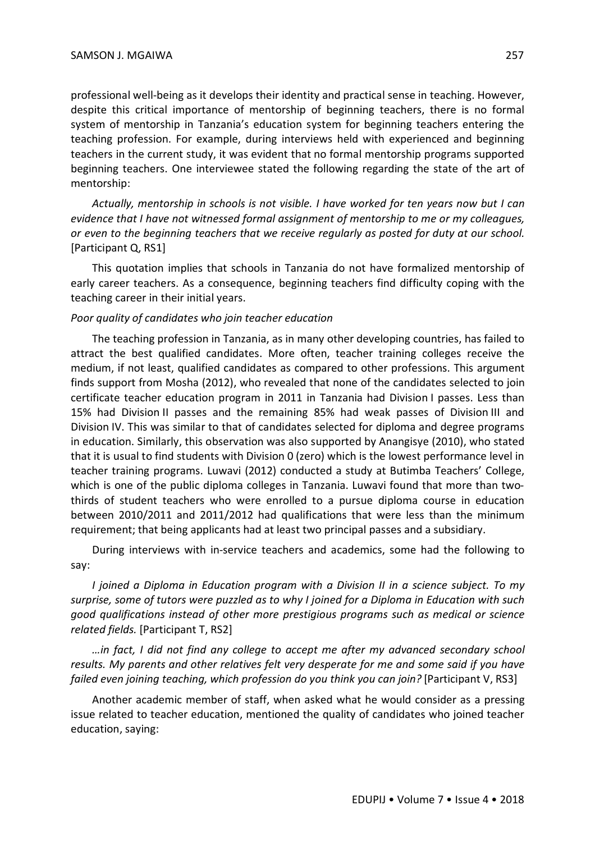professional well-being as it develops their identity and practical sense in teaching. However, despite this critical importance of mentorship of beginning teachers, there is no formal system of mentorship in Tanzania's education system for beginning teachers entering the teaching profession. For example, during interviews held with experienced and beginning teachers in the current study, it was evident that no formal mentorship programs supported beginning teachers. One interviewee stated the following regarding the state of the art of mentorship:

*Actually, mentorship in schools is not visible. I have worked for ten years now but I can evidence that I have not witnessed formal assignment of mentorship to me or my colleagues, or even to the beginning teachers that we receive regularly as posted for duty at our school.* [Participant Q, RS1]

This quotation implies that schools in Tanzania do not have formalized mentorship of early career teachers. As a consequence, beginning teachers find difficulty coping with the teaching career in their initial years.

#### *Poor quality of candidates who join teacher education*

The teaching profession in Tanzania, as in many other developing countries, has failed to attract the best qualified candidates. More often, teacher training colleges receive the medium, if not least, qualified candidates as compared to other professions. This argument finds support from Mosha (2012), who revealed that none of the candidates selected to join certificate teacher education program in 2011 in Tanzania had Division I passes. Less than 15% had Division II passes and the remaining 85% had weak passes of Division III and Division IV. This was similar to that of candidates selected for diploma and degree programs in education. Similarly, this observation was also supported by Anangisye (2010), who stated that it is usual to find students with Division 0 (zero) which is the lowest performance level in teacher training programs. Luwavi (2012) conducted a study at Butimba Teachers' College, which is one of the public diploma colleges in Tanzania. Luwavi found that more than twothirds of student teachers who were enrolled to a pursue diploma course in education between 2010/2011 and 2011/2012 had qualifications that were less than the minimum requirement; that being applicants had at least two principal passes and a subsidiary.

During interviews with in-service teachers and academics, some had the following to say:

*I joined a Diploma in Education program with a Division II in a science subject. To my surprise, some of tutors were puzzled as to why I joined for a Diploma in Education with such good qualifications instead of other more prestigious programs such as medical or science related fields.* [Participant T, RS2]

*…in fact, I did not find any college to accept me after my advanced secondary school results. My parents and other relatives felt very desperate for me and some said if you have failed even joining teaching, which profession do you think you can join?* [Participant V, RS3]

Another academic member of staff, when asked what he would consider as a pressing issue related to teacher education, mentioned the quality of candidates who joined teacher education, saying: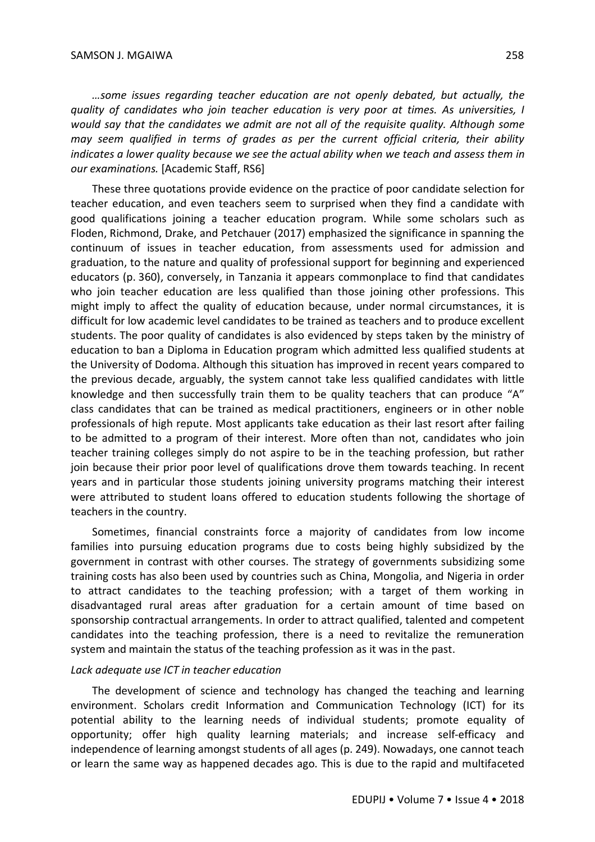*…some issues regarding teacher education are not openly debated, but actually, the quality of candidates who join teacher education is very poor at times. As universities, I would say that the candidates we admit are not all of the requisite quality. Although some may seem qualified in terms of grades as per the current official criteria, their ability indicates a lower quality because we see the actual ability when we teach and assess them in our examinations.* [Academic Staff, RS6]

These three quotations provide evidence on the practice of poor candidate selection for teacher education, and even teachers seem to surprised when they find a candidate with good qualifications joining a teacher education program. While some scholars such as Floden, Richmond, Drake, and Petchauer (2017) emphasized the significance in spanning the continuum of issues in teacher education, from assessments used for admission and graduation, to the nature and quality of professional support for beginning and experienced educators (p. 360), conversely, in Tanzania it appears commonplace to find that candidates who join teacher education are less qualified than those joining other professions. This might imply to affect the quality of education because, under normal circumstances, it is difficult for low academic level candidates to be trained as teachers and to produce excellent students. The poor quality of candidates is also evidenced by steps taken by the ministry of education to ban a Diploma in Education program which admitted less qualified students at the University of Dodoma. Although this situation has improved in recent years compared to the previous decade, arguably, the system cannot take less qualified candidates with little knowledge and then successfully train them to be quality teachers that can produce "A" class candidates that can be trained as medical practitioners, engineers or in other noble professionals of high repute. Most applicants take education as their last resort after failing to be admitted to a program of their interest. More often than not, candidates who join teacher training colleges simply do not aspire to be in the teaching profession, but rather join because their prior poor level of qualifications drove them towards teaching. In recent years and in particular those students joining university programs matching their interest were attributed to student loans offered to education students following the shortage of teachers in the country.

Sometimes, financial constraints force a majority of candidates from low income families into pursuing education programs due to costs being highly subsidized by the government in contrast with other courses. The strategy of governments subsidizing some training costs has also been used by countries such as China, Mongolia, and Nigeria in order to attract candidates to the teaching profession; with a target of them working in disadvantaged rural areas after graduation for a certain amount of time based on sponsorship contractual arrangements. In order to attract qualified, talented and competent candidates into the teaching profession, there is a need to revitalize the remuneration system and maintain the status of the teaching profession as it was in the past.

#### *Lack adequate use ICT in teacher education*

The development of science and technology has changed the teaching and learning environment. Scholars credit Information and Communication Technology (ICT) for its potential ability to the learning needs of individual students; promote equality of opportunity; offer high quality learning materials; and increase self-efficacy and independence of learning amongst students of all ages (p. 249). Nowadays, one cannot teach or learn the same way as happened decades ago. This is due to the rapid and multifaceted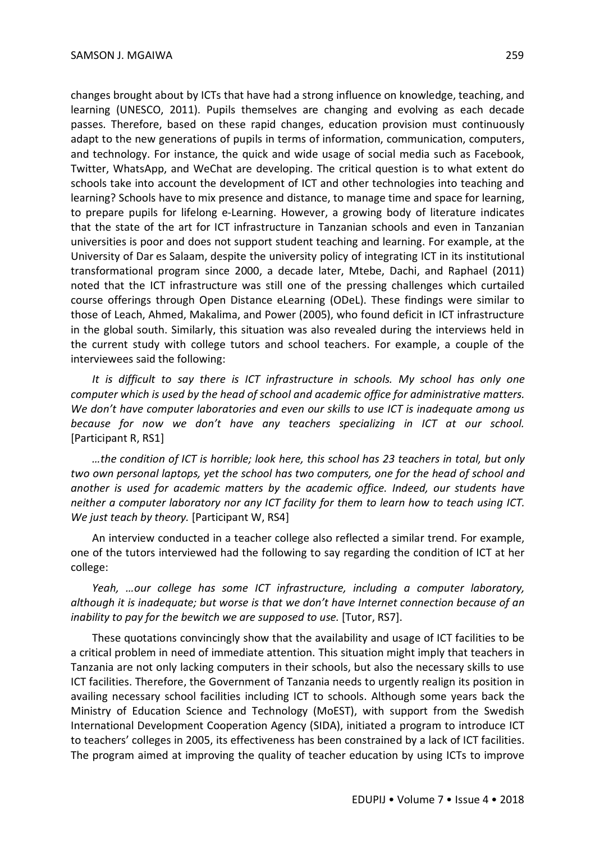changes brought about by ICTs that have had a strong influence on knowledge, teaching, and learning (UNESCO, 2011). Pupils themselves are changing and evolving as each decade passes. Therefore, based on these rapid changes, education provision must continuously adapt to the new generations of pupils in terms of information, communication, computers, and technology. For instance, the quick and wide usage of social media such as Facebook, Twitter, WhatsApp, and WeChat are developing. The critical question is to what extent do schools take into account the development of ICT and other technologies into teaching and learning? Schools have to mix presence and distance, to manage time and space for learning, to prepare pupils for lifelong e-Learning. However, a growing body of literature indicates that the state of the art for ICT infrastructure in Tanzanian schools and even in Tanzanian universities is poor and does not support student teaching and learning. For example, at the University of Dar es Salaam, despite the university policy of integrating ICT in its institutional transformational program since 2000, a decade later, Mtebe, Dachi, and Raphael (2011) noted that the ICT infrastructure was still one of the pressing challenges which curtailed course offerings through Open Distance eLearning (ODeL). These findings were similar to those of Leach, Ahmed, Makalima, and Power (2005), who found deficit in ICT infrastructure in the global south. Similarly, this situation was also revealed during the interviews held in the current study with college tutors and school teachers. For example, a couple of the interviewees said the following:

*It is difficult to say there is ICT infrastructure in schools. My school has only one computer which is used by the head of school and academic office for administrative matters. We don't have computer laboratories and even our skills to use ICT is inadequate among us because for now we don't have any teachers specializing in ICT at our school.* [Participant R, RS1]

*…the condition of ICT is horrible; look here, this school has 23 teachers in total, but only two own personal laptops, yet the school has two computers, one for the head of school and another is used for academic matters by the academic office. Indeed, our students have neither a computer laboratory nor any ICT facility for them to learn how to teach using ICT. We just teach by theory.* [Participant W, RS4]

An interview conducted in a teacher college also reflected a similar trend. For example, one of the tutors interviewed had the following to say regarding the condition of ICT at her college:

*Yeah, …our college has some ICT infrastructure, including a computer laboratory, although it is inadequate; but worse is that we don't have Internet connection because of an inability to pay for the bewitch we are supposed to use.* [Tutor, RS7].

These quotations convincingly show that the availability and usage of ICT facilities to be a critical problem in need of immediate attention. This situation might imply that teachers in Tanzania are not only lacking computers in their schools, but also the necessary skills to use ICT facilities. Therefore, the Government of Tanzania needs to urgently realign its position in availing necessary school facilities including ICT to schools. Although some years back the Ministry of Education Science and Technology (MoEST), with support from the Swedish International Development Cooperation Agency (SIDA), initiated a program to introduce ICT to teachers' colleges in 2005, its effectiveness has been constrained by a lack of ICT facilities. The program aimed at improving the quality of teacher education by using ICTs to improve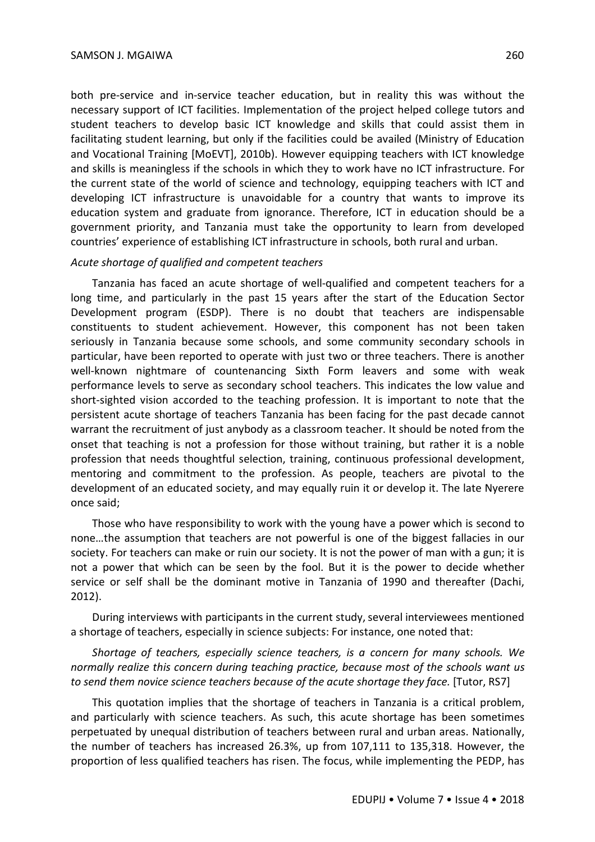both pre-service and in-service teacher education, but in reality this was without the necessary support of ICT facilities. Implementation of the project helped college tutors and student teachers to develop basic ICT knowledge and skills that could assist them in facilitating student learning, but only if the facilities could be availed (Ministry of Education and Vocational Training [MoEVT], 2010b). However equipping teachers with ICT knowledge and skills is meaningless if the schools in which they to work have no ICT infrastructure. For the current state of the world of science and technology, equipping teachers with ICT and developing ICT infrastructure is unavoidable for a country that wants to improve its education system and graduate from ignorance. Therefore, ICT in education should be a government priority, and Tanzania must take the opportunity to learn from developed countries' experience of establishing ICT infrastructure in schools, both rural and urban.

#### *Acute shortage of qualified and competent teachers*

Tanzania has faced an acute shortage of well-qualified and competent teachers for a long time, and particularly in the past 15 years after the start of the Education Sector Development program (ESDP). There is no doubt that teachers are indispensable constituents to student achievement. However, this component has not been taken seriously in Tanzania because some schools, and some community secondary schools in particular, have been reported to operate with just two or three teachers. There is another well-known nightmare of countenancing Sixth Form leavers and some with weak performance levels to serve as secondary school teachers. This indicates the low value and short-sighted vision accorded to the teaching profession. It is important to note that the persistent acute shortage of teachers Tanzania has been facing for the past decade cannot warrant the recruitment of just anybody as a classroom teacher. It should be noted from the onset that teaching is not a profession for those without training, but rather it is a noble profession that needs thoughtful selection, training, continuous professional development, mentoring and commitment to the profession. As people, teachers are pivotal to the development of an educated society, and may equally ruin it or develop it. The late Nyerere once said;

Those who have responsibility to work with the young have a power which is second to none…the assumption that teachers are not powerful is one of the biggest fallacies in our society. For teachers can make or ruin our society. It is not the power of man with a gun; it is not a power that which can be seen by the fool. But it is the power to decide whether service or self shall be the dominant motive in Tanzania of 1990 and thereafter (Dachi, 2012).

During interviews with participants in the current study, several interviewees mentioned a shortage of teachers, especially in science subjects: For instance, one noted that:

*Shortage of teachers, especially science teachers, is a concern for many schools. We normally realize this concern during teaching practice, because most of the schools want us to send them novice science teachers because of the acute shortage they face.* [Tutor, RS7]

This quotation implies that the shortage of teachers in Tanzania is a critical problem, and particularly with science teachers. As such, this acute shortage has been sometimes perpetuated by unequal distribution of teachers between rural and urban areas. Nationally, the number of teachers has increased 26.3%, up from 107,111 to 135,318. However, the proportion of less qualified teachers has risen. The focus, while implementing the PEDP, has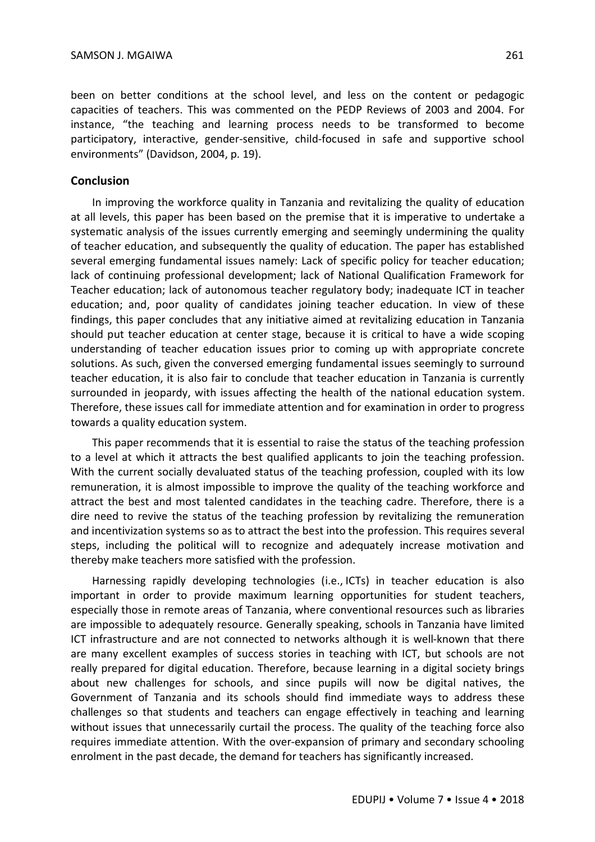been on better conditions at the school level, and less on the content or pedagogic capacities of teachers. This was commented on the PEDP Reviews of 2003 and 2004. For instance, "the teaching and learning process needs to be transformed to become participatory, interactive, gender-sensitive, child-focused in safe and supportive school environments" (Davidson, 2004, p. 19).

## **Conclusion**

In improving the workforce quality in Tanzania and revitalizing the quality of education at all levels, this paper has been based on the premise that it is imperative to undertake a systematic analysis of the issues currently emerging and seemingly undermining the quality of teacher education, and subsequently the quality of education. The paper has established several emerging fundamental issues namely: Lack of specific policy for teacher education; lack of continuing professional development; lack of National Qualification Framework for Teacher education; lack of autonomous teacher regulatory body; inadequate ICT in teacher education; and, poor quality of candidates joining teacher education. In view of these findings, this paper concludes that any initiative aimed at revitalizing education in Tanzania should put teacher education at center stage, because it is critical to have a wide scoping understanding of teacher education issues prior to coming up with appropriate concrete solutions. As such, given the conversed emerging fundamental issues seemingly to surround teacher education, it is also fair to conclude that teacher education in Tanzania is currently surrounded in jeopardy, with issues affecting the health of the national education system. Therefore, these issues call for immediate attention and for examination in order to progress towards a quality education system.

This paper recommends that it is essential to raise the status of the teaching profession to a level at which it attracts the best qualified applicants to join the teaching profession. With the current socially devaluated status of the teaching profession, coupled with its low remuneration, it is almost impossible to improve the quality of the teaching workforce and attract the best and most talented candidates in the teaching cadre. Therefore, there is a dire need to revive the status of the teaching profession by revitalizing the remuneration and incentivization systems so as to attract the best into the profession. This requires several steps, including the political will to recognize and adequately increase motivation and thereby make teachers more satisfied with the profession.

Harnessing rapidly developing technologies (i.e., ICTs) in teacher education is also important in order to provide maximum learning opportunities for student teachers, especially those in remote areas of Tanzania, where conventional resources such as libraries are impossible to adequately resource. Generally speaking, schools in Tanzania have limited ICT infrastructure and are not connected to networks although it is well-known that there are many excellent examples of success stories in teaching with ICT, but schools are not really prepared for digital education. Therefore, because learning in a digital society brings about new challenges for schools, and since pupils will now be digital natives, the Government of Tanzania and its schools should find immediate ways to address these challenges so that students and teachers can engage effectively in teaching and learning without issues that unnecessarily curtail the process. The quality of the teaching force also requires immediate attention. With the over-expansion of primary and secondary schooling enrolment in the past decade, the demand for teachers has significantly increased.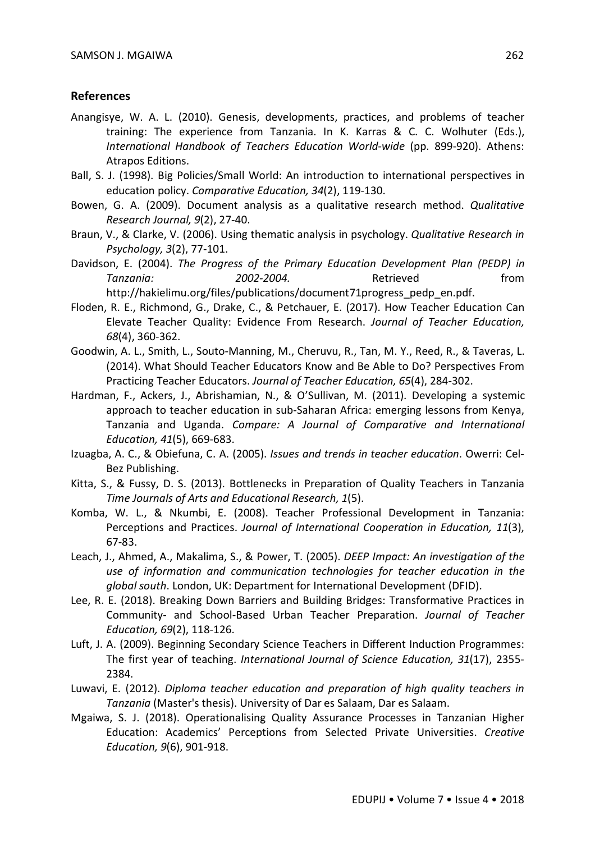## **References**

- Anangisye, W. A. L. (2010). Genesis, developments, practices, and problems of teacher training: The experience from Tanzania. In K. Karras & C. C. Wolhuter (Eds.), *International Handbook of Teachers Education World-wide* (pp. 899-920). Athens: Atrapos Editions.
- Ball, S. J. (1998). Big Policies/Small World: An introduction to international perspectives in education policy. *Comparative Education, 34*(2), 119-130.
- Bowen, G. A. (2009). Document analysis as a qualitative research method. *Qualitative Research Journal, 9*(2), 27-40.
- Braun, V., & Clarke, V. (2006). Using thematic analysis in psychology. *Qualitative Research in Psychology, 3*(2), 77-101.
- Davidson, E. (2004). *The Progress of the Primary Education Development Plan (PEDP) in Tanzania: 2002-2004.* Retrieved from http://hakielimu.org/files/publications/document71progress\_pedp\_en.pdf.
- Floden, R. E., Richmond, G., Drake, C., & Petchauer, E. (2017). How Teacher Education Can Elevate Teacher Quality: Evidence From Research. *Journal of Teacher Education, 68*(4), 360-362.
- Goodwin, A. L., Smith, L., Souto-Manning, M., Cheruvu, R., Tan, M. Y., Reed, R., & Taveras, L. (2014). What Should Teacher Educators Know and Be Able to Do? Perspectives From Practicing Teacher Educators. *Journal of Teacher Education, 65*(4), 284-302.
- Hardman, F., Ackers, J., Abrishamian, N., & O'Sullivan, M. (2011). Developing a systemic approach to teacher education in sub-Saharan Africa: emerging lessons from Kenya, Tanzania and Uganda. *Compare: A Journal of Comparative and International Education, 41*(5), 669-683.
- Izuagba, A. C., & Obiefuna, C. A. (2005). *Issues and trends in teacher education*. Owerri: Cel-Bez Publishing.
- Kitta, S., & Fussy, D. S. (2013). Bottlenecks in Preparation of Quality Teachers in Tanzania *Time Journals of Arts and Educational Research, 1*(5).
- Komba, W. L., & Nkumbi, E. (2008). Teacher Professional Development in Tanzania: Perceptions and Practices. *Journal of International Cooperation in Education, 11*(3), 67-83.
- Leach, J., Ahmed, A., Makalima, S., & Power, T. (2005). *DEEP Impact: An investigation of the use of information and communication technologies for teacher education in the global south*. London, UK: Department for International Development (DFID).
- Lee, R. E. (2018). Breaking Down Barriers and Building Bridges: Transformative Practices in Community- and School-Based Urban Teacher Preparation. *Journal of Teacher Education, 69*(2), 118-126.
- Luft, J. A. (2009). Beginning Secondary Science Teachers in Different Induction Programmes: The first year of teaching. *International Journal of Science Education, 31*(17), 2355- 2384.
- Luwavi, E. (2012). *Diploma teacher education and preparation of high quality teachers in Tanzania* (Master's thesis). University of Dar es Salaam, Dar es Salaam.
- Mgaiwa, S. J. (2018). Operationalising Quality Assurance Processes in Tanzanian Higher Education: Academics' Perceptions from Selected Private Universities. *Creative Education, 9*(6), 901-918.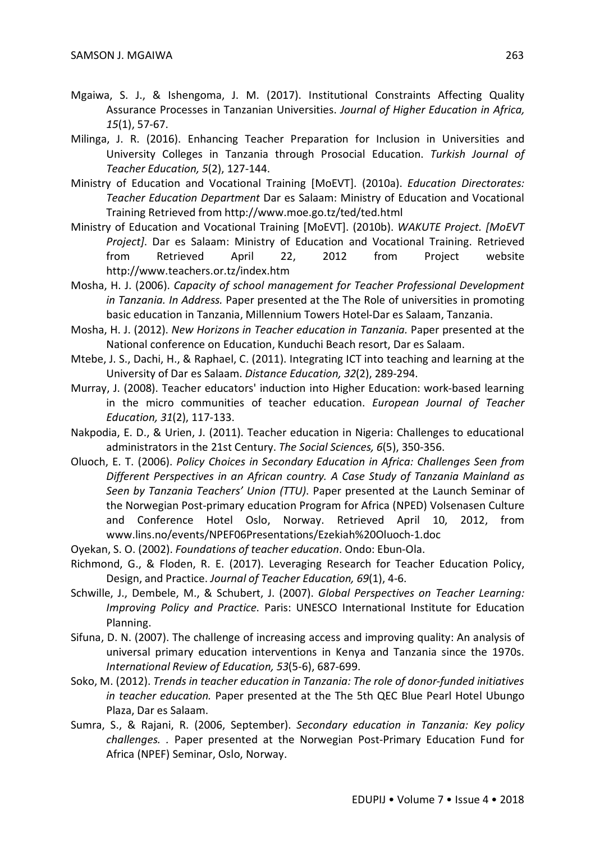- Mgaiwa, S. J., & Ishengoma, J. M. (2017). Institutional Constraints Affecting Quality Assurance Processes in Tanzanian Universities. *Journal of Higher Education in Africa, 15*(1), 57-67.
- Milinga, J. R. (2016). Enhancing Teacher Preparation for Inclusion in Universities and University Colleges in Tanzania through Prosocial Education. *Turkish Journal of Teacher Education, 5*(2), 127-144.
- Ministry of Education and Vocational Training [MoEVT]. (2010a). *Education Directorates: Teacher Education Department* Dar es Salaam: Ministry of Education and Vocational Training Retrieved from http://www.moe.go.tz/ted/ted.html
- Ministry of Education and Vocational Training [MoEVT]. (2010b). *WAKUTE Project. [MoEVT Project]*. Dar es Salaam: Ministry of Education and Vocational Training. Retrieved from Retrieved April 22, 2012 from Project website http://www.teachers.or.tz/index.htm
- Mosha, H. J. (2006). *Capacity of school management for Teacher Professional Development in Tanzania. In Address.* Paper presented at the The Role of universities in promoting basic education in Tanzania, Millennium Towers Hotel-Dar es Salaam, Tanzania.
- Mosha, H. J. (2012). *New Horizons in Teacher education in Tanzania.* Paper presented at the National conference on Education, Kunduchi Beach resort, Dar es Salaam.
- Mtebe, J. S., Dachi, H., & Raphael, C. (2011). Integrating ICT into teaching and learning at the University of Dar es Salaam. *Distance Education, 32*(2), 289-294.
- Murray, J. (2008). Teacher educators' induction into Higher Education: work-based learning in the micro communities of teacher education. *European Journal of Teacher Education, 31*(2), 117-133.
- Nakpodia, E. D., & Urien, J. (2011). Teacher education in Nigeria: Challenges to educational administrators in the 21st Century. *The Social Sciences, 6*(5), 350-356.
- Oluoch, E. T. (2006). *Policy Choices in Secondary Education in Africa: Challenges Seen from Different Perspectives in an African country. A Case Study of Tanzania Mainland as Seen by Tanzania Teachers' Union (TTU)*. Paper presented at the Launch Seminar of the Norwegian Post-primary education Program for Africa (NPED) Volsenasen Culture and Conference Hotel Oslo, Norway. Retrieved April 10, 2012, from www.lins.no/events/NPEF06Presentations/Ezekiah%20Oluoch-1.doc
- Oyekan, S. O. (2002). *Foundations of teacher education*. Ondo: Ebun-Ola.
- Richmond, G., & Floden, R. E. (2017). Leveraging Research for Teacher Education Policy, Design, and Practice. *Journal of Teacher Education, 69*(1), 4-6.
- Schwille, J., Dembele, M., & Schubert, J. (2007). *Global Perspectives on Teacher Learning: Improving Policy and Practice*. Paris: UNESCO International Institute for Education Planning.
- Sifuna, D. N. (2007). The challenge of increasing access and improving quality: An analysis of universal primary education interventions in Kenya and Tanzania since the 1970s. *International Review of Education, 53*(5-6), 687-699.
- Soko, M. (2012). *Trends in teacher education in Tanzania: The role of donor-funded initiatives in teacher education.* Paper presented at the The 5th QEC Blue Pearl Hotel Ubungo Plaza, Dar es Salaam.
- Sumra, S., & Rajani, R. (2006, September). *Secondary education in Tanzania: Key policy challenges. .* Paper presented at the Norwegian Post-Primary Education Fund for Africa (NPEF) Seminar, Oslo, Norway.